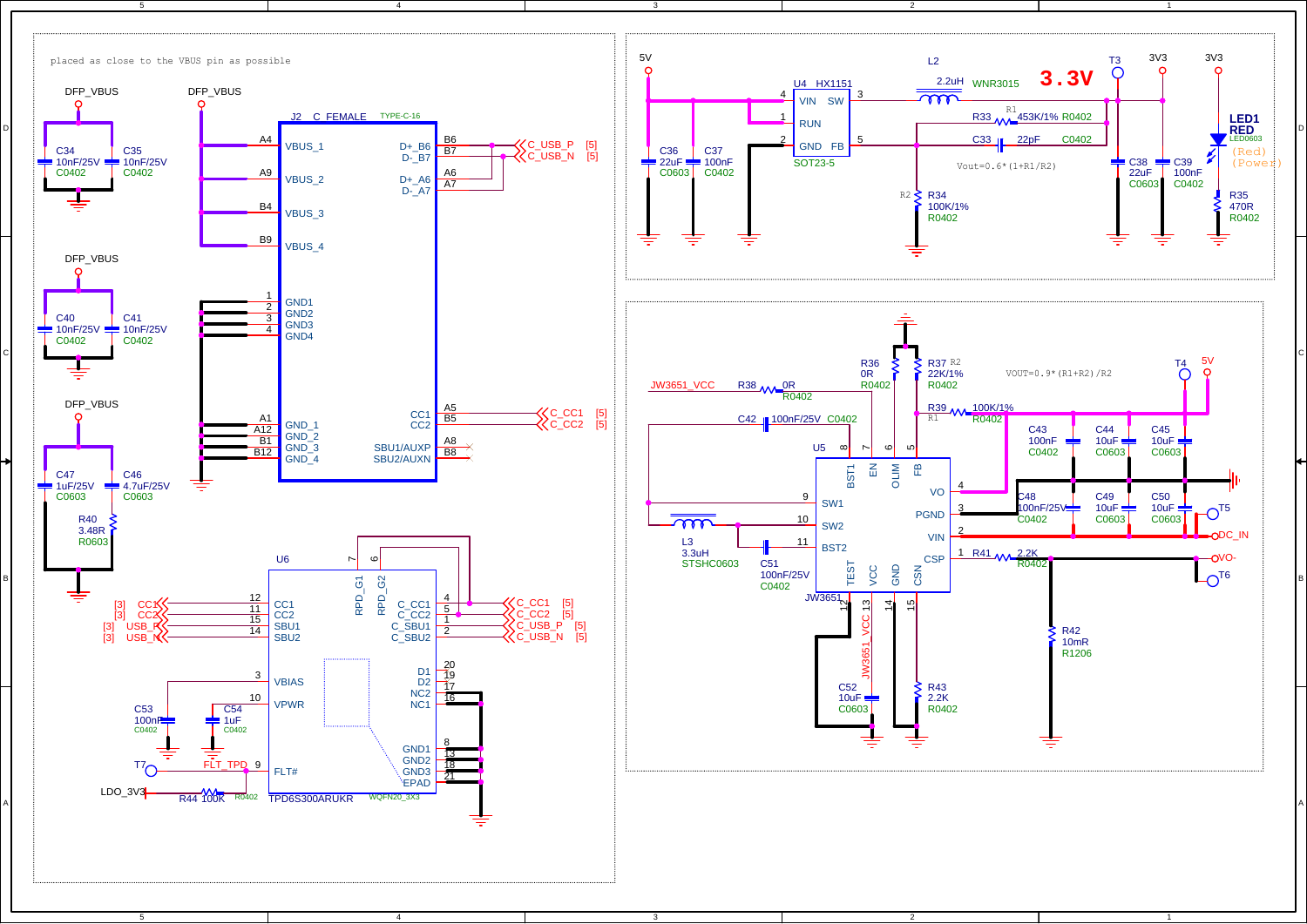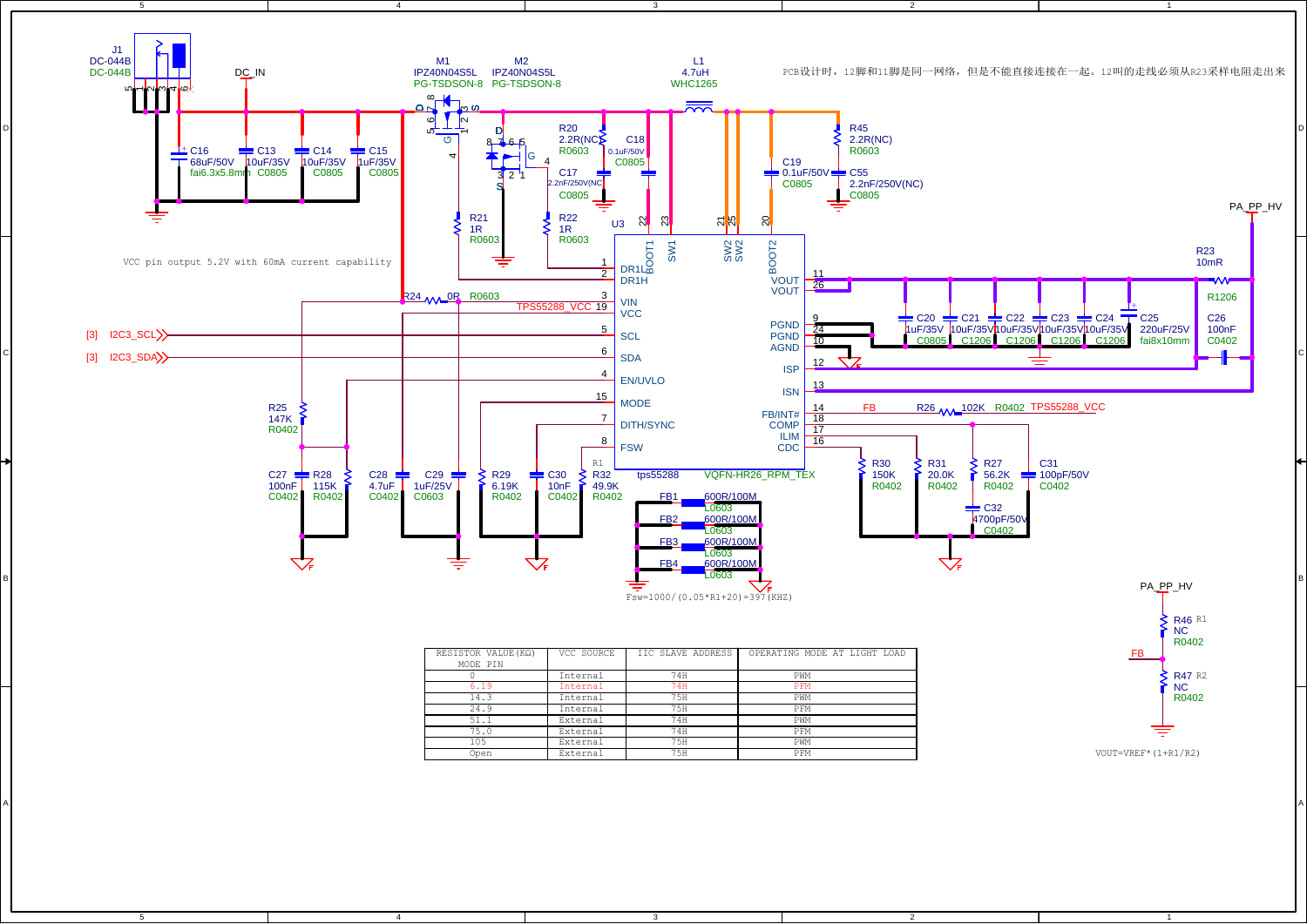

3

A I

75H

PFM

External

2

5

C

B

A

4

VOUT=VREF\*(1+R1/R2)

1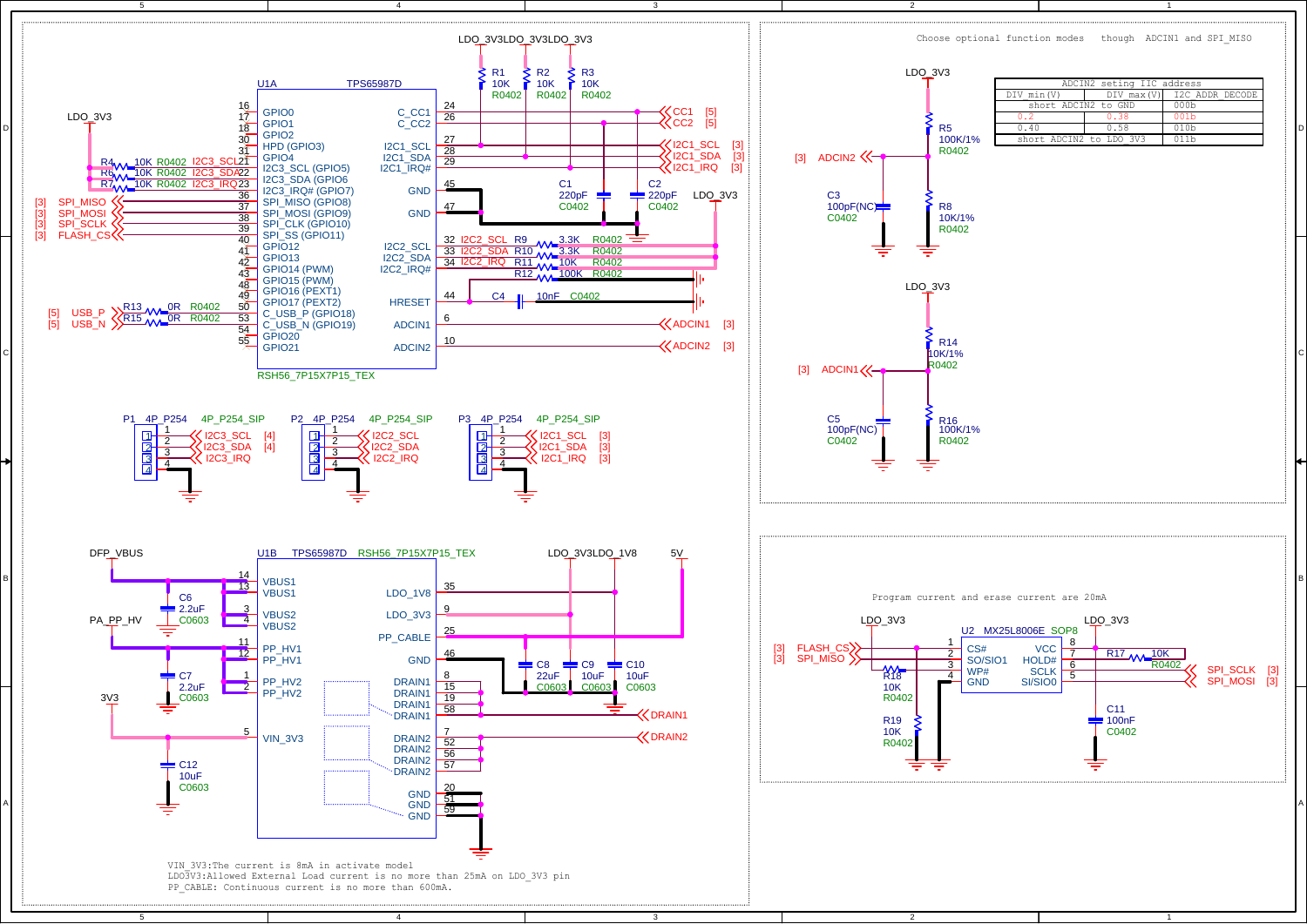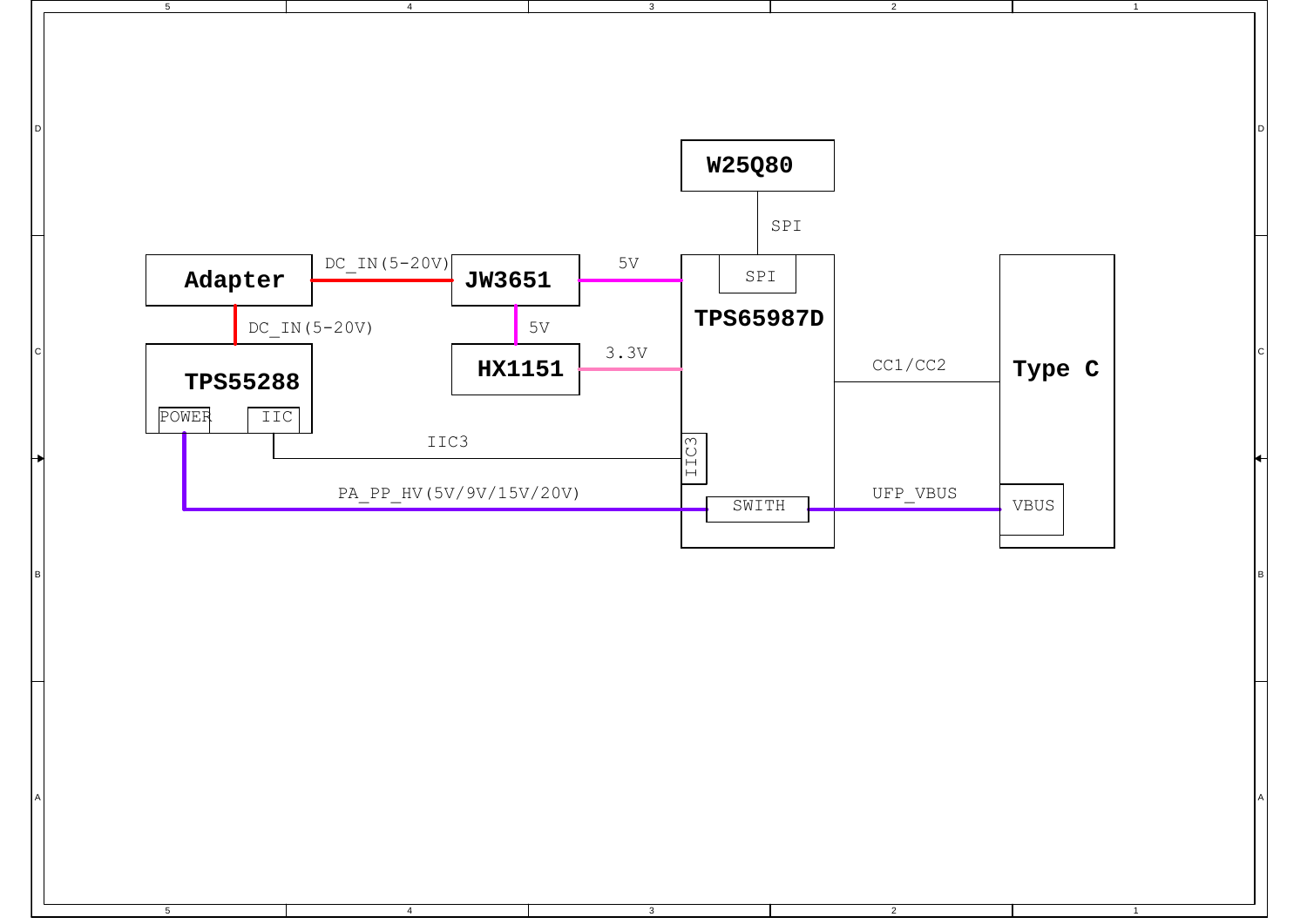